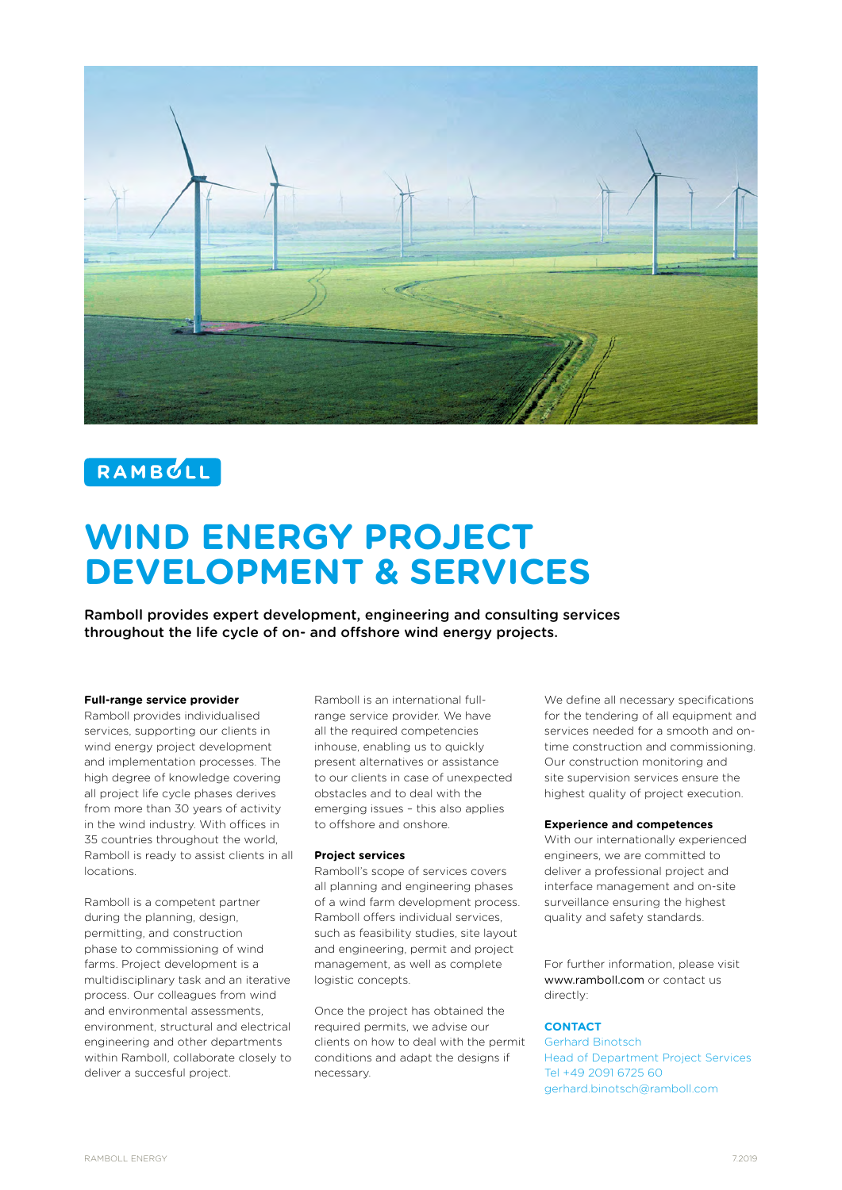

# RAMBULL

# **WIND ENERGY PROJECT DEVELOPMENT & SERVICES**

Ramboll provides expert development, engineering and consulting services throughout the life cycle of on- and offshore wind energy projects.

#### **Full-range service provider**

Ramboll provides individualised services, supporting our clients in wind energy project development and implementation processes. The high degree of knowledge covering all project life cycle phases derives from more than 30 years of activity in the wind industry. With offices in 35 countries throughout the world, Ramboll is ready to assist clients in all locations.

Ramboll is a competent partner during the planning, design, permitting, and construction phase to commissioning of wind farms. Project development is a multidisciplinary task and an iterative process. Our colleagues from wind and environmental assessments, environment, structural and electrical engineering and other departments within Ramboll, collaborate closely to deliver a succesful project.

Ramboll is an international fullrange service provider. We have all the required competencies inhouse, enabling us to quickly present alternatives or assistance to our clients in case of unexpected obstacles and to deal with the emerging issues – this also applies to offshore and onshore.

#### **Project services**

Ramboll's scope of services covers all planning and engineering phases of a wind farm development process. Ramboll offers individual services, such as feasibility studies, site layout and engineering, permit and project management, as well as complete logistic concepts.

Once the project has obtained the required permits, we advise our clients on how to deal with the permit conditions and adapt the designs if necessary.

We define all necessary specifications for the tendering of all equipment and services needed for a smooth and ontime construction and commissioning. Our construction monitoring and site supervision services ensure the highest quality of project execution.

#### **Experience and competences**

With our internationally experienced engineers, we are committed to deliver a professional project and interface management and on-site surveillance ensuring the highest quality and safety standards.

For further information, please visit www.ramboll.com or contact us directly:

### **CONTACT**

Gerhard Binotsch Head of Department Project Services Tel +49 2091 6725 60 gerhard.binotsch@ramboll.com